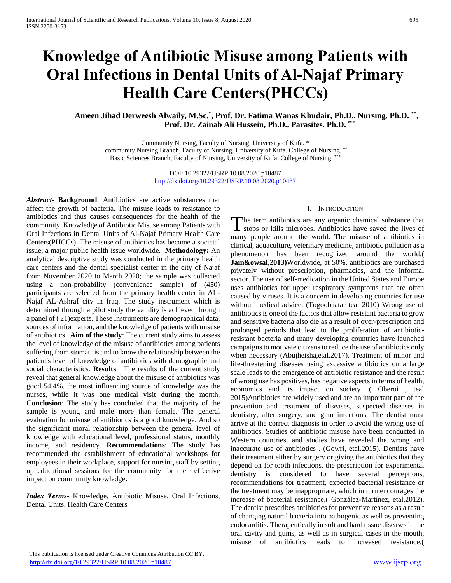# **Knowledge of Antibiotic Misuse among Patients with Oral Infections in Dental Units of Al-Najaf Primary Health Care Centers(PHCCs)**

# Ameen Jihad Derweesh Alwaily, M.Sc.<sup>\*</sup>, Prof. Dr. Fatima Wanas Khudair, Ph.D., Nursing. Ph.D. <sup>\*\*</sup>, **Prof. Dr. Zainab Ali Hussein, Ph.D., Parasites. Ph.D. \*\*\***

Community Nursing, Faculty of Nursing, University of Kufa. \* community Nursing Branch, Faculty of Nursing, University of Kufa. College of Nursing. \*\* Basic Sciences Branch, Faculty of Nursing, University of Kufa. College of Nursing. \*\*\*

> DOI: 10.29322/IJSRP.10.08.2020.p10487 <http://dx.doi.org/10.29322/IJSRP.10.08.2020.p10487>

*Abstract***- Background**: Antibiotics are active substances that affect the growth of bacteria. The misuse leads to resistance to antibiotics and thus causes consequences for the health of the community. Knowledge of Antibiotic Misuse among Patients with Oral Infections in Dental Units of Al-Najaf Primary Health Care Centers(PHCCs). The misuse of antibiotics has become a societal issue, a major public health issue worldwide. **Methodology:** An analytical descriptive study was conducted in the primary health care centers and the dental specialist center in the city of Najaf from November 2020 to March 2020; the sample was collected using a non-probability (convenience sample) of (450) participants are selected from the primary health center in AL-Najaf AL-Ashraf city in Iraq. The study instrument which is determined through a pilot study the validity is achieved through a panel of ( 21)experts. These Instruments are demographical data, sources of information, and the knowledge of patients with misuse of antibiotics. **Aim of the study**: The current study aims to assess the level of knowledge of the misuse of antibiotics among patients suffering from stomatitis and to know the relationship between the patient's level of knowledge of antibiotics with demographic and social characteristics. **Results**: The results of the current study reveal that general knowledge about the misuse of antibiotics was good 54.4%, the most influencing source of knowledge was the nurses, while it was one medical visit during the month. **Conclusion**: The study has concluded that the majority of the sample is young and male more than female. The general evaluation for misuse of antibiotics is a good knowledge. And so the significant moral relationship between the general level of knowledge with educational level, professional status, monthly income, and residency. **Recommendations**: The study has recommended the establishment of educational workshops for employees in their workplace, support for nursing staff by setting up educational sessions for the community for their effective impact on community knowledge**.**

*Index Terms*- Knowledge, Antibiotic Misuse, Oral Infections, Dental Units, Health Care Centers

#### I. INTRODUCTION

The term antibiotics are any organic chemical substance that The term antibiotics are any organic chemical substance that stops or kills microbes. Antibiotics have saved the lives of many people around the world. The misuse of antibiotics in clinical, aquaculture, veterinary medicine, antibiotic pollution as a phenomenon has been recognized around the world.**( Jain&owsal,2013)**Worldwide, at 50%, antibiotics are purchased privately without prescription, pharmacies, and the informal sector. The use of self-medication in the United States and Europe uses antibiotics for upper respiratory symptoms that are often caused by viruses. It is a concern in developing countries for use without medical advice. (Togoobaatar teal 2010) Wrong use of antibiotics is one of the factors that allow resistant bacteria to grow and sensitive bacteria also die as a result of over-prescription and prolonged periods that lead to the proliferation of antibioticresistant bacteria and many developing countries have launched campaigns to motivate citizens to reduce the use of antibiotics only when necessary (Abujheisha,etal.2017). Treatment of minor and life-threatening diseases using excessive antibiotics on a large scale leads to the emergence of antibiotic resistance and the result of wrong use has positives, has negative aspects in terms of health, economics and its impact on society .( Oberoi , teal 2015)Antibiotics are widely used and are an important part of the prevention and treatment of diseases, suspected diseases in dentistry, after surgery, and gum infections. The dentist must arrive at the correct diagnosis in order to avoid the wrong use of antibiotics. Studies of antibiotic misuse have been conducted in Western countries, and studies have revealed the wrong and inaccurate use of antibiotics . (Gowri, etal.2015). Dentists have their treatment either by surgery or giving the antibiotics that they depend on for tooth infections, the prescription for experimental dentistry is considered to have several perceptions, recommendations for treatment, expected bacterial resistance or the treatment may be inappropriate, which in turn encourages the increase of bacterial resistance.( González-Martínez, etal.2012). The dentist prescribes antibiotics for preventive reasons as a result of changing natural bacteria into pathogenic as well as preventing endocarditis. Therapeutically in soft and hard tissue diseases in the oral cavity and gums, as well as in surgical cases in the mouth, misuse of antibiotics leads to increased resistance.(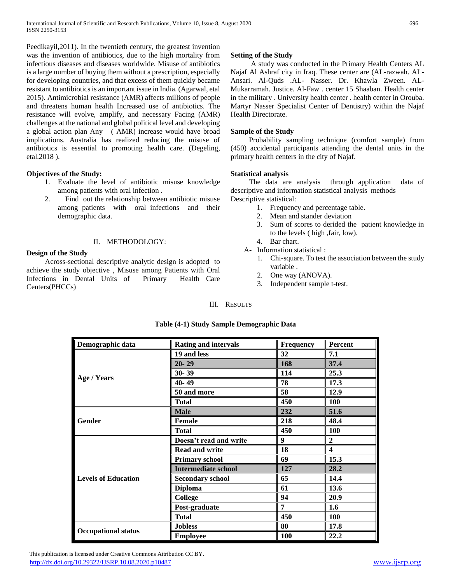Peedikayil,2011). In the twentieth century, the greatest invention was the invention of antibiotics, due to the high mortality from infectious diseases and diseases worldwide. Misuse of antibiotics is a large number of buying them without a prescription, especially for developing countries, and that excess of them quickly became resistant to antibiotics is an important issue in India. (Agarwal, etal 2015). Antimicrobial resistance (AMR) affects millions of people and threatens human health Increased use of antibiotics. The resistance will evolve, amplify, and necessary Facing (AMR) challenges at the national and global political level and developing a global action plan Any ( AMR) increase would have broad implications. Australia has realized reducing the misuse of antibiotics is essential to promoting health care. (Degeling, etal.2018 ).

## **Objectives of the Study:**

- 1. Evaluate the level of antibiotic misuse knowledge among patients with oral infection .
- 2. Find out the relationship between antibiotic misuse among patients with oral infections and their demographic data.

## II. METHODOLOGY:

## **Design of the Study**

 Across-sectional descriptive analytic design is adopted to achieve the study objective , Misuse among Patients with Oral Infections in Dental Units of Primary Health Care Centers(PHCCs)

# **Setting of the Study**

 A study was conducted in the Primary Health Centers AL Najaf Al Ashraf city in Iraq. These center are (AL-razwah. AL-Ansari. Al-Quds .AL- Nasser. Dr. Khawla Zween. AL-Mukarramah. Justice. Al-Faw . center 15 Shaaban. Health center in the military . University health center . health center in Orouba. Martyr Nasser Specialist Center of Dentistry) within the Najaf Health Directorate.

## **Sample of the Study**

 Probability sampling technique (comfort sample) from (450) accidental participants attending the dental units in the primary health centers in the city of Najaf.

## **Statistical analysis**

 The data are analysis through application data of descriptive and information statistical analysis methods Descriptive statistical:

- 1. Frequency and percentage table.
- 2. Mean and stander deviation
- 3. Sum of scores to derided the patient knowledge in to the levels ( high ,fair, low).
- 4. Bar chart.
- A- Information statistical :
	- 1. Chi-square. To test the association between the study variable .
	- 2. One way (ANOVA).
	- 3. Independent sample t-test.

## III. RESULTS

| Demographic data           | <b>Rating and intervals</b> | Frequency  | <b>Percent</b>   |
|----------------------------|-----------------------------|------------|------------------|
|                            | 19 and less                 | 32         | 7.1              |
|                            | $20 - 29$                   | 168        | 37.4             |
|                            | $30 - 39$                   | 114        | 25.3             |
| Age / Years                | 40-49                       | 78         | 17.3             |
|                            | 50 and more                 | 58         | 12.9             |
|                            | Total                       | 450        | 100              |
|                            | <b>Male</b>                 | 232        | 51.6             |
| Gender                     | <b>Female</b>               | 218        | 48.4             |
|                            | <b>Total</b>                | 450        | 100              |
|                            | Doesn't read and write      | 9          | $\boldsymbol{2}$ |
|                            | <b>Read and write</b>       | 18         | 4                |
|                            | <b>Primary school</b>       | 69         | 15.3             |
|                            | <b>Intermediate school</b>  | 127        | 28.2             |
| <b>Levels of Education</b> | <b>Secondary school</b>     | 65         | 14.4             |
|                            | <b>Diploma</b>              | 61         | 13.6             |
|                            | College                     | 94         | 20.9             |
|                            | Post-graduate               | 7          | 1.6              |
|                            | <b>Total</b>                | 450        | <b>100</b>       |
| <b>Occupational status</b> | <b>Jobless</b>              | 80         | 17.8             |
|                            | <b>Employee</b>             | <b>100</b> | 22.2             |

## **Table (4-1) Study Sample Demographic Data**

 This publication is licensed under Creative Commons Attribution CC BY. <http://dx.doi.org/10.29322/IJSRP.10.08.2020.p10487> [www.ijsrp.org](http://ijsrp.org/)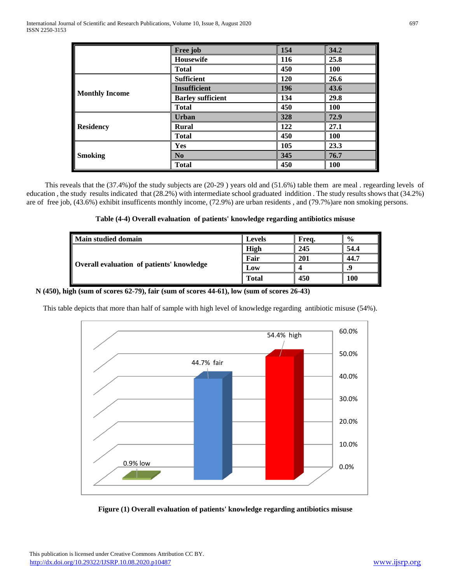|                       | Free job                 | 154 | 34.2       |
|-----------------------|--------------------------|-----|------------|
|                       | <b>Housewife</b>         | 116 | 25.8       |
|                       | <b>Total</b>             | 450 | 100        |
|                       | <b>Sufficient</b>        | 120 | 26.6       |
|                       | <b>Insufficient</b>      | 196 | 43.6       |
| <b>Monthly Income</b> | <b>Barley sufficient</b> | 134 | 29.8       |
|                       | <b>Total</b>             | 450 | 100        |
|                       | <b>Urban</b>             | 328 | 72.9       |
| <b>Residency</b>      | <b>Rural</b>             | 122 | 27.1       |
|                       | <b>Total</b>             | 450 | 100        |
| <b>Smoking</b>        | <b>Yes</b>               | 105 | 23.3       |
|                       | N <sub>0</sub>           | 345 | 76.7       |
|                       | <b>Total</b>             | 450 | <b>100</b> |

 This reveals that the (37.4%)of the study subjects are (20-29 ) years old and (51.6%) table them are meal . regearding levels of education , the study results indicated that (28.2%) with intermediate school graduated inddition . The study results shows that (34.2%) are of free job, (43.6%) exhibit insufficents monthly income, (72.9%) are urban residents , and (79.7%)are non smoking persons.

| Table (4-4) Overall evaluation of patients' knowledge regarding antibiotics misuse |  |  |  |
|------------------------------------------------------------------------------------|--|--|--|
|                                                                                    |  |  |  |

| Main studied domain                              | <b>Levels</b> | Frea. | $\frac{6}{9}$ |
|--------------------------------------------------|---------------|-------|---------------|
|                                                  | <b>High</b>   | 245   | 54.4          |
|                                                  | Fair          | 201   | 44.7          |
| <b>Overall evaluation of patients' knowledge</b> | Low           |       |               |
|                                                  | <b>Total</b>  | 450   | 100           |

 **N (450), high (sum of scores 62-79), fair (sum of scores 44-61), low (sum of scores 26-43)**

This table depicts that more than half of sample with high level of knowledge regarding antibiotic misuse (54%).



**Figure (1) Overall evaluation of patients' knowledge regarding antibiotics misuse**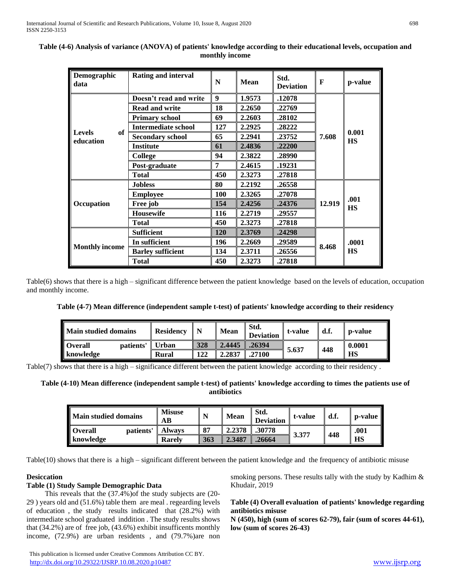| Demographic<br>data              | <b>Rating and interval</b>                                                         | N          | <b>Mean</b> | Std.<br><b>Deviation</b> | $\mathbf{F}$ | p-value            |  |
|----------------------------------|------------------------------------------------------------------------------------|------------|-------------|--------------------------|--------------|--------------------|--|
|                                  | Doesn't read and write                                                             | 9          | 1.9573      | .12078                   |              |                    |  |
|                                  | <b>Read and write</b>                                                              | 18         | 2.2650      | .22769                   |              |                    |  |
|                                  | <b>Primary school</b>                                                              | 69         | 2.2603      | .28102                   |              |                    |  |
|                                  | <b>Intermediate school</b>                                                         | 127        | 2.2925      | .28222                   |              |                    |  |
| of<br><b>Levels</b><br>education | <b>Secondary school</b>                                                            | 65         | 2.2941      | .23752                   | 7.608        | 0.001<br><b>HS</b> |  |
|                                  | <b>Institute</b>                                                                   | 61         | 2.4836      | .22200                   |              |                    |  |
|                                  | 94<br>2.3822<br>.28990<br><b>College</b><br>7<br>2.4615<br>Post-graduate<br>.19231 |            |             |                          |              |                    |  |
|                                  |                                                                                    |            |             |                          |              |                    |  |
|                                  | <b>Total</b>                                                                       | 450        | 2.3273      | .27818                   |              |                    |  |
|                                  | <b>Jobless</b>                                                                     | 80         | 2.2192      | .26558                   |              | .001<br><b>HS</b>  |  |
|                                  | <b>Employee</b>                                                                    | 100        | 2.3265      | .27078                   |              |                    |  |
| <b>Occupation</b>                | Free job                                                                           | 154        | 2.4256      | .24376                   | 12.919       |                    |  |
|                                  | <b>Housewife</b>                                                                   | 116        | 2.2719      | .29557                   |              |                    |  |
|                                  | <b>Total</b>                                                                       | 450        | 2.3273      | .27818                   |              |                    |  |
|                                  | <b>Sufficient</b>                                                                  | <b>120</b> | 2.3769      | .24298                   |              | .0001              |  |
| <b>Monthly income</b>            | In sufficient                                                                      | 196        | 2.2669      | .29589                   |              |                    |  |
|                                  | <b>Barley sufficient</b>                                                           | 134        | 2.3711      | .26556                   | 8.468        | <b>HS</b>          |  |
|                                  | <b>Total</b>                                                                       | 450        | 2.3273      | .27818                   |              |                    |  |

# **Table (4-6) Analysis of variance (ANOVA) of patients' knowledge according to their educational levels, occupation and monthly income**

Table(6) shows that there is a high – significant difference between the patient knowledge based on the levels of education, occupation and monthly income.

**Table (4-7) Mean difference (independent sample t-test) of patients' knowledge according to their residency**

| Main studied domains        | <b>Residency</b> |     | <b>Mean</b> | Std.<br><b>Deviation</b> | t-value | d.f. | p-value   |
|-----------------------------|------------------|-----|-------------|--------------------------|---------|------|-----------|
| <b>Overall</b><br>patients' | <b>Urban</b>     | 328 | 2.4445      | .26394                   |         | 448  | 0.0001    |
| knowledge                   | Rural            | 122 | 2.2837      | 27100                    | 5.637   |      | <b>HS</b> |

Table(7) shows that there is a high – significance different between the patient knowledge according to their residency .

**Table (4-10) Mean difference (independent sample t-test) of patients' knowledge according to times the patients use of antibiotics**

| <b>Main studied domains</b> | <b>Misuse</b><br>AВ | N   | <b>Mean</b> | -Std.<br><b>Deviation</b> | t-value | d.f. | p-value   |
|-----------------------------|---------------------|-----|-------------|---------------------------|---------|------|-----------|
| <b>Overall</b><br>patients' | Alwavs              | 87  | 2.2378      | .30778                    |         |      | .001      |
| knowledge                   | <b>Rarely</b>       | 363 | 2.3487      | .26664                    | 3.377   | 448  | <b>HS</b> |

Table(10) shows that there is a high – significant different between the patient knowledge and the frequency of antibiotic misuse

# **Desiccation**

## **Table (1) Study Sample Demographic Data**

 This reveals that the (37.4%)of the study subjects are (20- 29 ) years old and (51.6%) table them are meal . regearding levels of education , the study results indicated that (28.2%) with intermediate school graduated inddition . The study results shows that (34.2%) are of free job, (43.6%) exhibit insufficents monthly income, (72.9%) are urban residents , and (79.7%)are non smoking persons. These results tally with the study by Kadhim & Khudair, 2019

# **Table (4) Overall evaluation of patients' knowledge regarding antibiotics misuse**

**N (450), high (sum of scores 62-79), fair (sum of scores 44-61), low (sum of scores 26-43)**